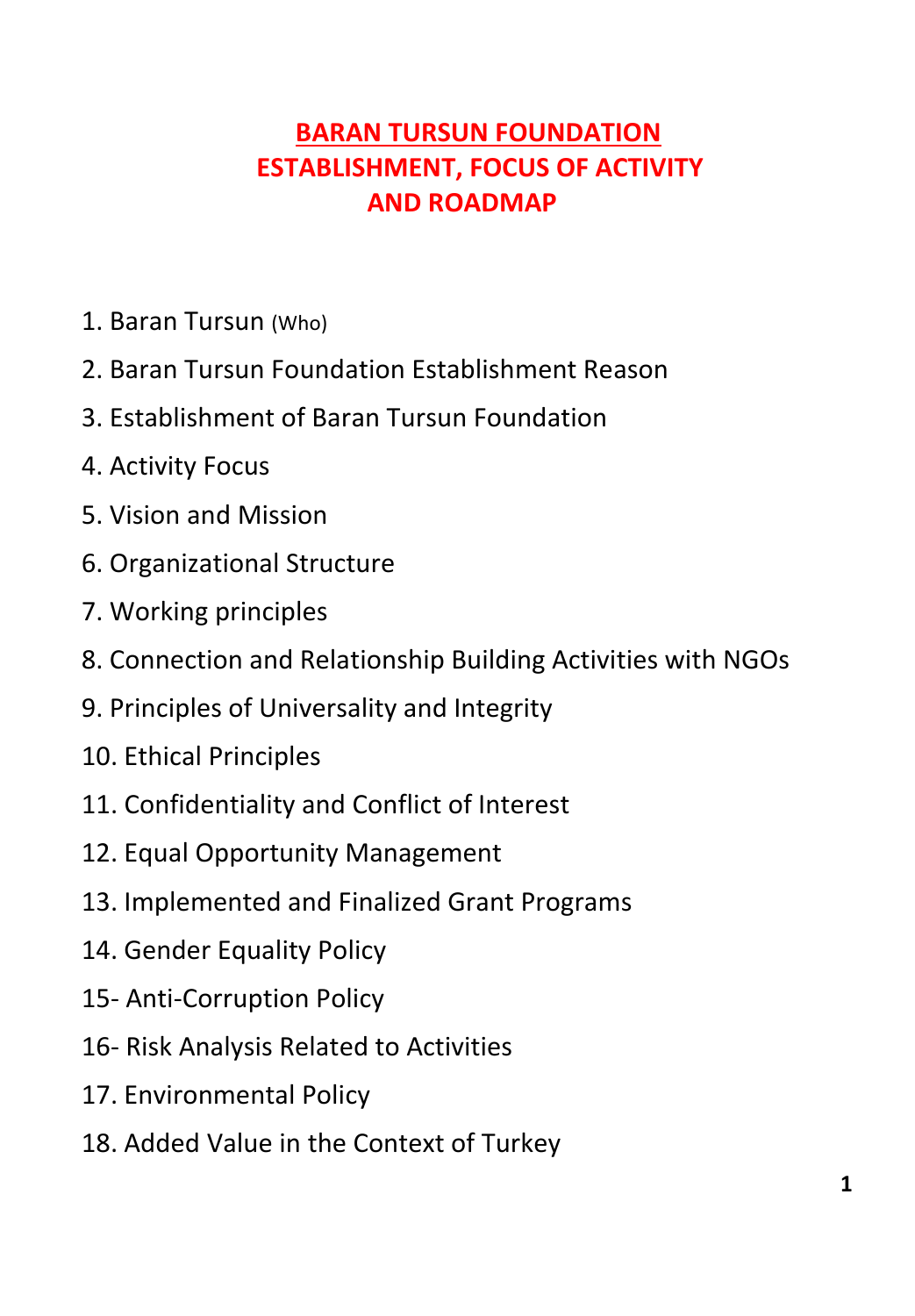# **BARAN TURSUN FOUNDATION ESTABLISHMENT, FOCUS OF ACTIVITY AND ROADMAP**

- 1. Baran Tursun (Who)
- 2. Baran Tursun Foundation Establishment Reason
- 3. Establishment of Baran Tursun Foundation
- 4. Activity Focus
- 5. Vision and Mission
- 6. Organizational Structure
- 7. Working principles
- 8. Connection and Relationship Building Activities with NGOs
- 9. Principles of Universality and Integrity
- 10. Ethical Principles
- 11. Confidentiality and Conflict of Interest
- 12. Equal Opportunity Management
- 13. Implemented and Finalized Grant Programs
- 14. Gender Equality Policy
- 15- Anti-Corruption Policy
- 16- Risk Analysis Related to Activities
- 17. Environmental Policy
- 18. Added Value in the Context of Turkey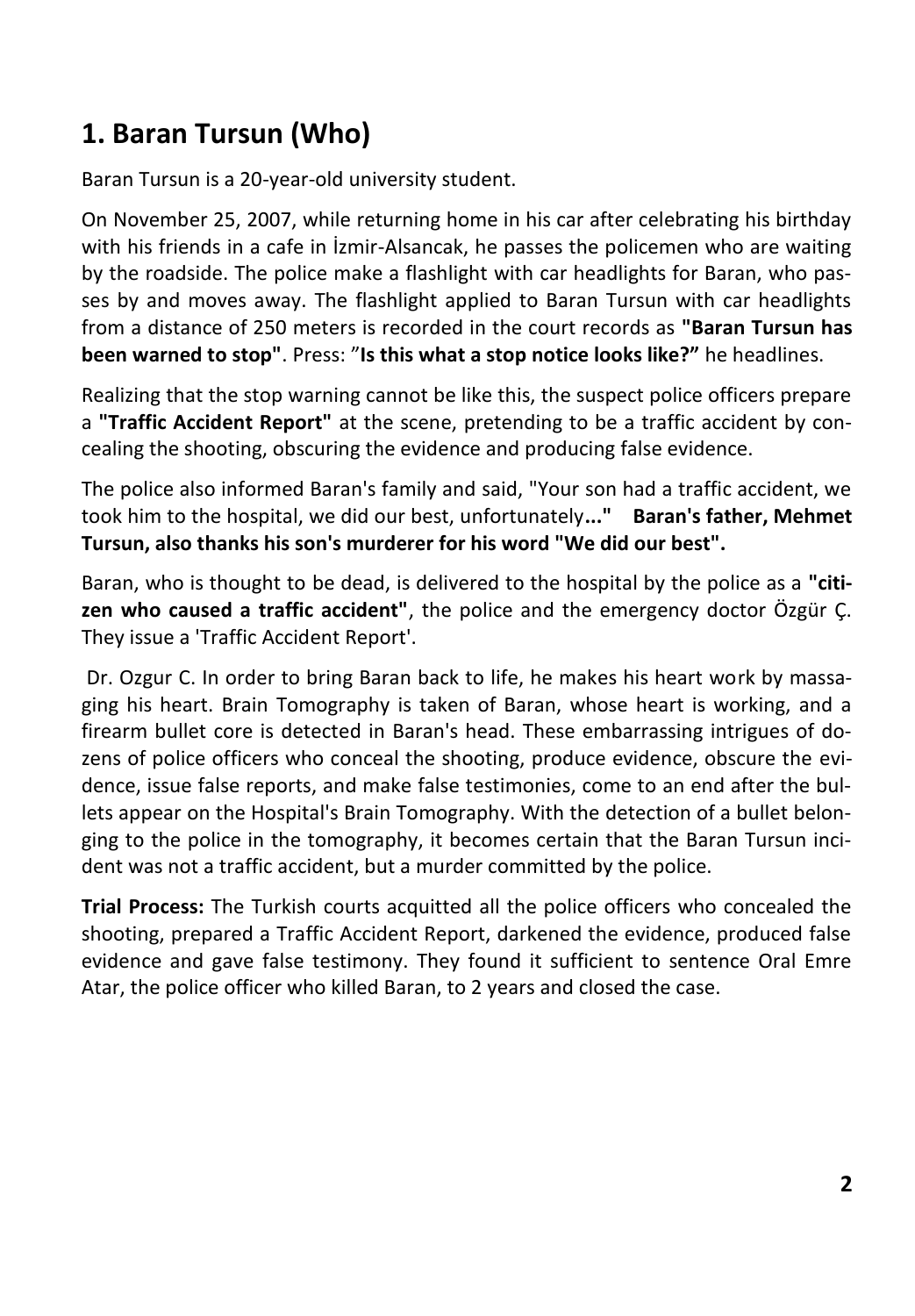# **1. Baran Tursun (Who)**

Baran Tursun is a 20-year-old university student.

On November 25, 2007, while returning home in his car after celebrating his birthday with his friends in a cafe in İzmir-Alsancak, he passes the policemen who are waiting by the roadside. The police make a flashlight with car headlights for Baran, who passes by and moves away. The flashlight applied to Baran Tursun with car headlights from a distance of 250 meters is recorded in the court records as **"Baran Tursun has been warned to stop"**. Press: "**Is this what a stop notice looks like?"** he headlines.

Realizing that the stop warning cannot be like this, the suspect police officers prepare a **"Traffic Accident Report"** at the scene, pretending to be a traffic accident by concealing the shooting, obscuring the evidence and producing false evidence.

The police also informed Baran's family and said, "Your son had a traffic accident, we took him to the hospital, we did our best, unfortunately**..." Baran's father, Mehmet Tursun, also thanks his son's murderer for his word "We did our best".**

Baran, who is thought to be dead, is delivered to the hospital by the police as a **"citizen who caused a traffic accident"**, the police and the emergency doctor Özgür Ç. They issue a 'Traffic Accident Report'.

Dr. Ozgur C. In order to bring Baran back to life, he makes his heart work by massaging his heart. Brain Tomography is taken of Baran, whose heart is working, and a firearm bullet core is detected in Baran's head. These embarrassing intrigues of dozens of police officers who conceal the shooting, produce evidence, obscure the evidence, issue false reports, and make false testimonies, come to an end after the bullets appear on the Hospital's Brain Tomography. With the detection of a bullet belonging to the police in the tomography, it becomes certain that the Baran Tursun incident was not a traffic accident, but a murder committed by the police.

**Trial Process:** The Turkish courts acquitted all the police officers who concealed the shooting, prepared a Traffic Accident Report, darkened the evidence, produced false evidence and gave false testimony. They found it sufficient to sentence Oral Emre Atar, the police officer who killed Baran, to 2 years and closed the case.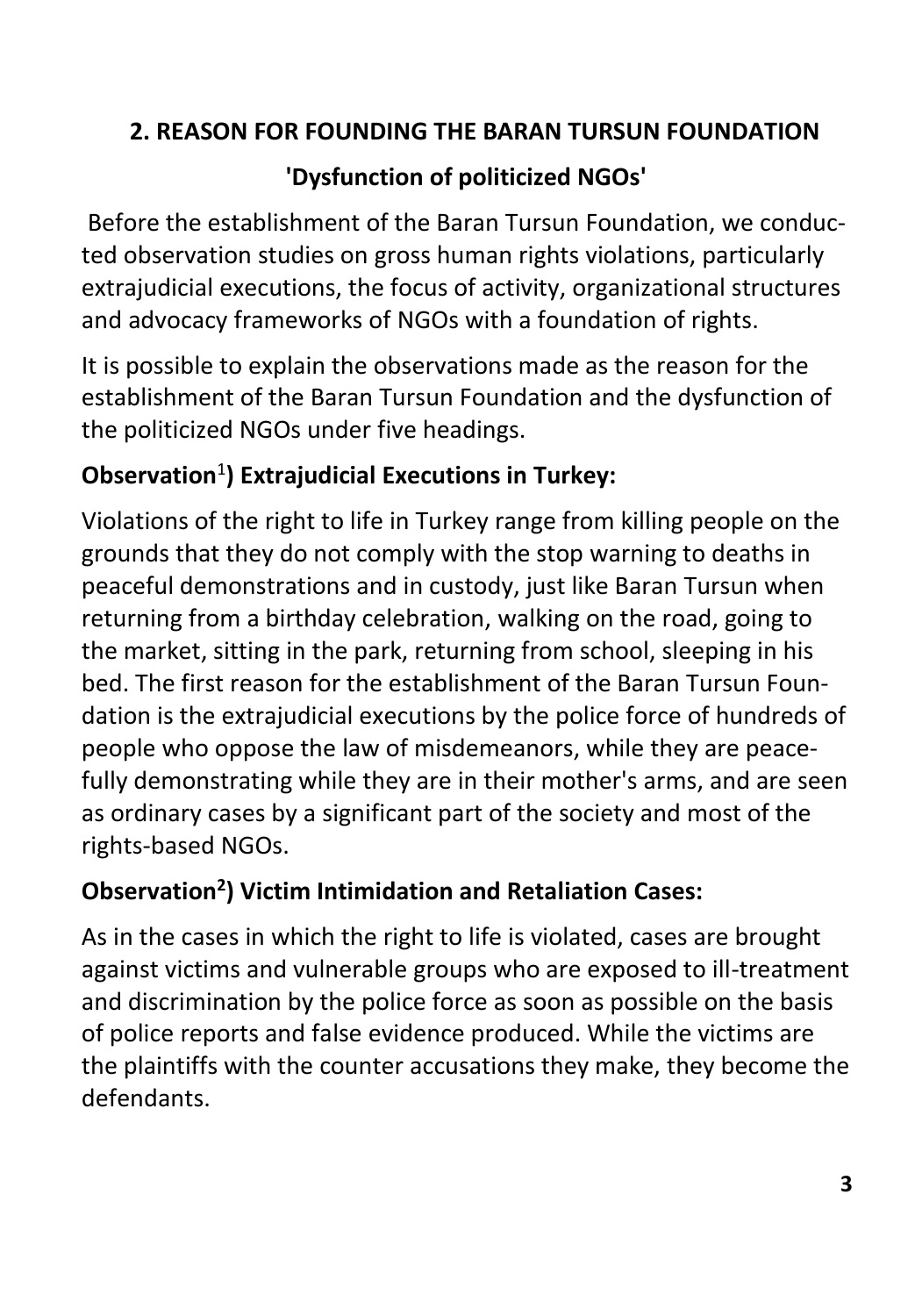# **2. REASON FOR FOUNDING THE BARAN TURSUN FOUNDATION**

# **'Dysfunction of politicized NGOs'**

Before the establishment of the Baran Tursun Foundation, we conducted observation studies on gross human rights violations, particularly extrajudicial executions, the focus of activity, organizational structures and advocacy frameworks of NGOs with a foundation of rights.

It is possible to explain the observations made as the reason for the establishment of the Baran Tursun Foundation and the dysfunction of the politicized NGOs under five headings.

# **Observation**<sup>1</sup> **) Extrajudicial Executions in Turkey:**

Violations of the right to life in Turkey range from killing people on the grounds that they do not comply with the stop warning to deaths in peaceful demonstrations and in custody, just like Baran Tursun when returning from a birthday celebration, walking on the road, going to the market, sitting in the park, returning from school, sleeping in his bed. The first reason for the establishment of the Baran Tursun Foundation is the extrajudicial executions by the police force of hundreds of people who oppose the law of misdemeanors, while they are peacefully demonstrating while they are in their mother's arms, and are seen as ordinary cases by a significant part of the society and most of the rights-based NGOs.

# **Observation<sup>2</sup> ) Victim Intimidation and Retaliation Cases:**

As in the cases in which the right to life is violated, cases are brought against victims and vulnerable groups who are exposed to ill-treatment and discrimination by the police force as soon as possible on the basis of police reports and false evidence produced. While the victims are the plaintiffs with the counter accusations they make, they become the defendants.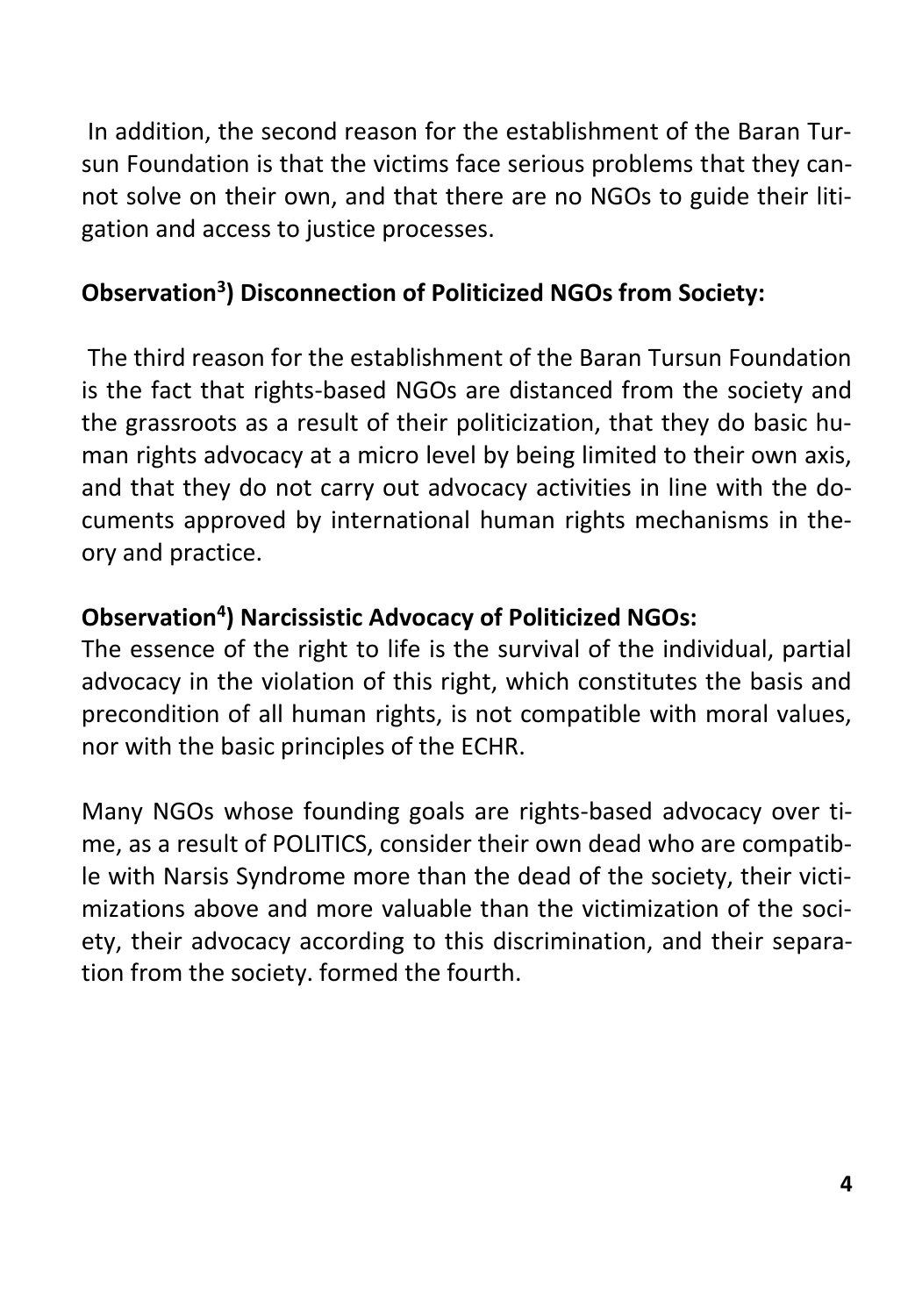In addition, the second reason for the establishment of the Baran Tursun Foundation is that the victims face serious problems that they cannot solve on their own, and that there are no NGOs to guide their litigation and access to justice processes.

# **Observation<sup>3</sup> ) Disconnection of Politicized NGOs from Society:**

The third reason for the establishment of the Baran Tursun Foundation is the fact that rights-based NGOs are distanced from the society and the grassroots as a result of their politicization, that they do basic human rights advocacy at a micro level by being limited to their own axis, and that they do not carry out advocacy activities in line with the documents approved by international human rights mechanisms in theory and practice.

# **Observation<sup>4</sup> ) Narcissistic Advocacy of Politicized NGOs:**

The essence of the right to life is the survival of the individual, partial advocacy in the violation of this right, which constitutes the basis and precondition of all human rights, is not compatible with moral values, nor with the basic principles of the ECHR.

Many NGOs whose founding goals are rights-based advocacy over time, as a result of POLITICS, consider their own dead who are compatible with Narsis Syndrome more than the dead of the society, their victimizations above and more valuable than the victimization of the society, their advocacy according to this discrimination, and their separation from the society. formed the fourth.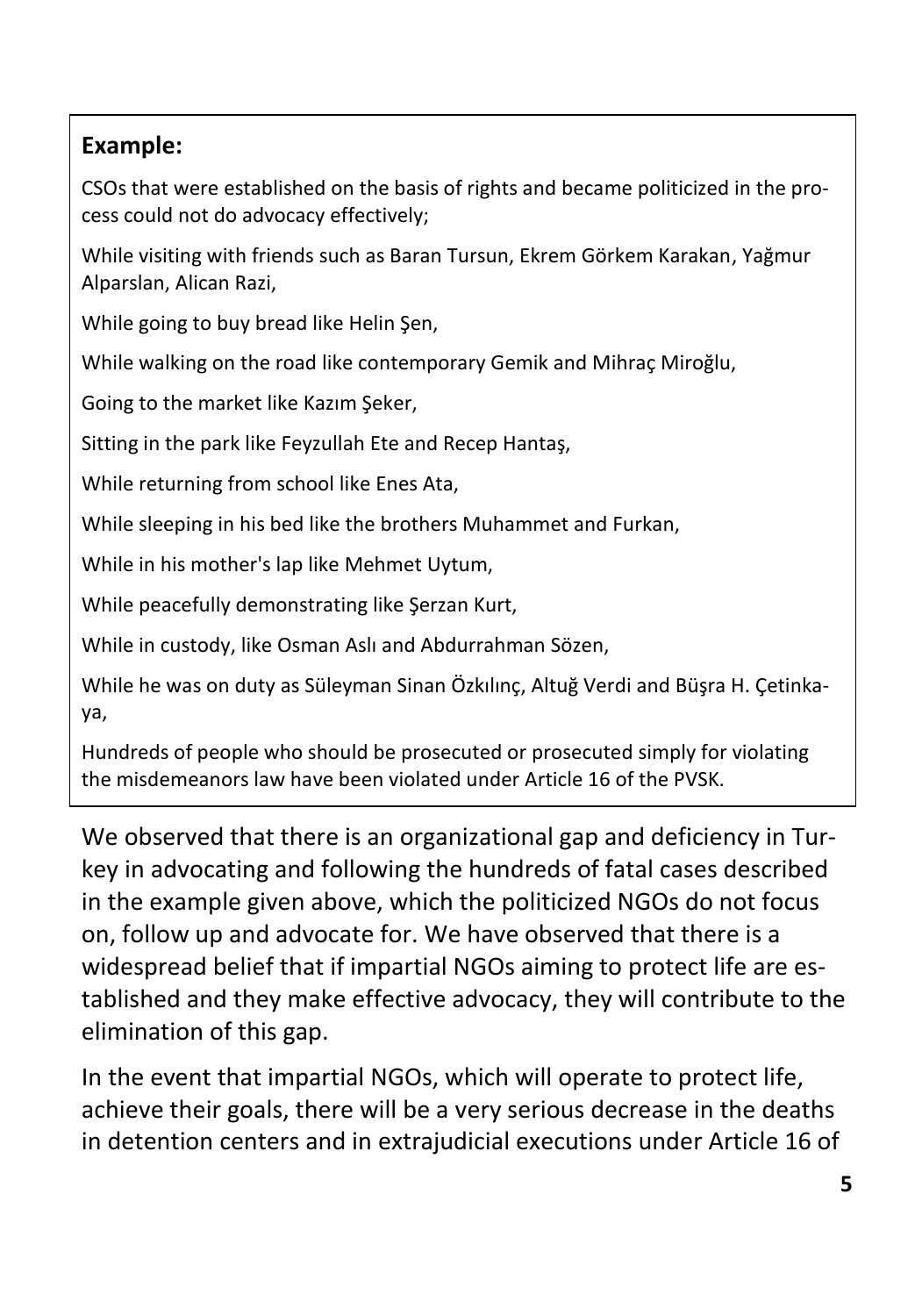## **Example:**

CSOs that were established on the basis of rights and became politicized in the process could not do advocacy effectively;

While visiting with friends such as Baran Tursun, Ekrem Görkem Karakan, Yağmur Alparslan, Alican Razi,

While going to buy bread like Helin Şen,

While walking on the road like contemporary Gemik and Mihraç Miroğlu,

Going to the market like Kazım Şeker,

Sitting in the park like Feyzullah Ete and Recep Hantaş,

While returning from school like Enes Ata,

While sleeping in his bed like the brothers Muhammet and Furkan,

While in his mother's lap like Mehmet Uytum,

While peacefully demonstrating like Şerzan Kurt,

While in custody, like Osman Aslı and Abdurrahman Sözen,

While he was on duty as Süleyman Sinan Özkılınç, Altuğ Verdi and Büşra H. Çetinkaya,

Hundreds of people who should be prosecuted or prosecuted simply for violating the misdemeanors law have been violated under Article 16 of the PVSK.

We observed that there is an organizational gap and deficiency in Turkey in advocating and following the hundreds of fatal cases described in the example given above, which the politicized NGOs do not focus on, follow up and advocate for. We have observed that there is a widespread belief that if impartial NGOs aiming to protect life are established and they make effective advocacy, they will contribute to the elimination of this gap.

In the event that impartial NGOs, which will operate to protect life, achieve their goals, there will be a very serious decrease in the deaths in detention centers and in extrajudicial executions under Article 16 of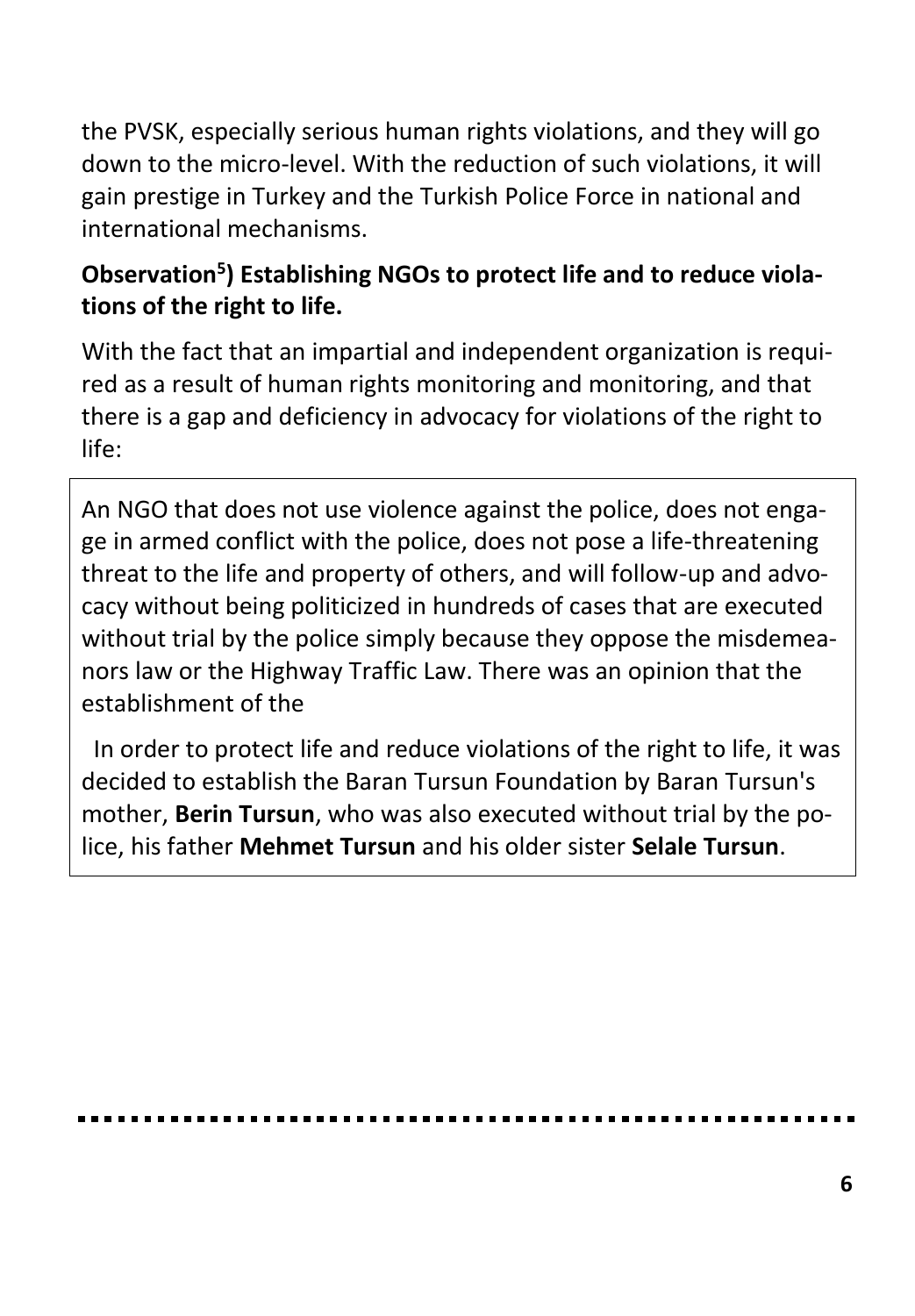the PVSK, especially serious human rights violations, and they will go down to the micro-level. With the reduction of such violations, it will gain prestige in Turkey and the Turkish Police Force in national and international mechanisms.

# **Observation<sup>5</sup> ) Establishing NGOs to protect life and to reduce violations of the right to life.**

With the fact that an impartial and independent organization is required as a result of human rights monitoring and monitoring, and that there is a gap and deficiency in advocacy for violations of the right to life:

An NGO that does not use violence against the police, does not engage in armed conflict with the police, does not pose a life-threatening threat to the life and property of others, and will follow-up and advocacy without being politicized in hundreds of cases that are executed without trial by the police simply because they oppose the misdemeanors law or the Highway Traffic Law. There was an opinion that the establishment of the

 In order to protect life and reduce violations of the right to life, it was decided to establish the Baran Tursun Foundation by Baran Tursun's mother, **Berin Tursun**, who was also executed without trial by the police, his father **Mehmet Tursun** and his older sister **Selale Tursun**.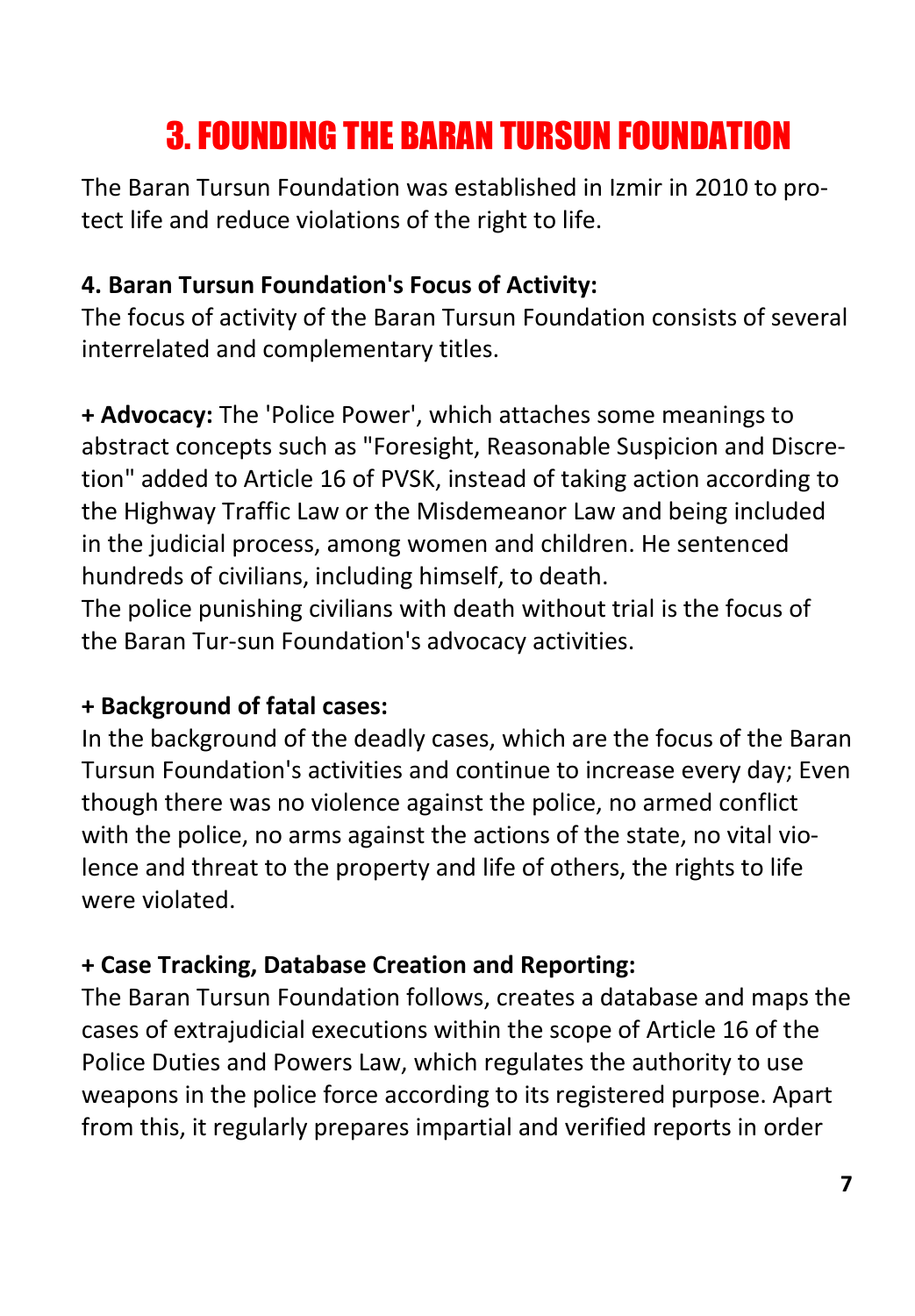# 3. FOUNDING THE BARAN TURSUN FOUNDATION

The Baran Tursun Foundation was established in Izmir in 2010 to protect life and reduce violations of the right to life.

# **4. Baran Tursun Foundation's Focus of Activity:**

The focus of activity of the Baran Tursun Foundation consists of several interrelated and complementary titles.

**+ Advocacy:** The 'Police Power', which attaches some meanings to abstract concepts such as "Foresight, Reasonable Suspicion and Discretion" added to Article 16 of PVSK, instead of taking action according to the Highway Traffic Law or the Misdemeanor Law and being included in the judicial process, among women and children. He sentenced hundreds of civilians, including himself, to death.

The police punishing civilians with death without trial is the focus of the Baran Tur-sun Foundation's advocacy activities.

## **+ Background of fatal cases:**

In the background of the deadly cases, which are the focus of the Baran Tursun Foundation's activities and continue to increase every day; Even though there was no violence against the police, no armed conflict with the police, no arms against the actions of the state, no vital violence and threat to the property and life of others, the rights to life were violated.

## **+ Case Tracking, Database Creation and Reporting:**

The Baran Tursun Foundation follows, creates a database and maps the cases of extrajudicial executions within the scope of Article 16 of the Police Duties and Powers Law, which regulates the authority to use weapons in the police force according to its registered purpose. Apart from this, it regularly prepares impartial and verified reports in order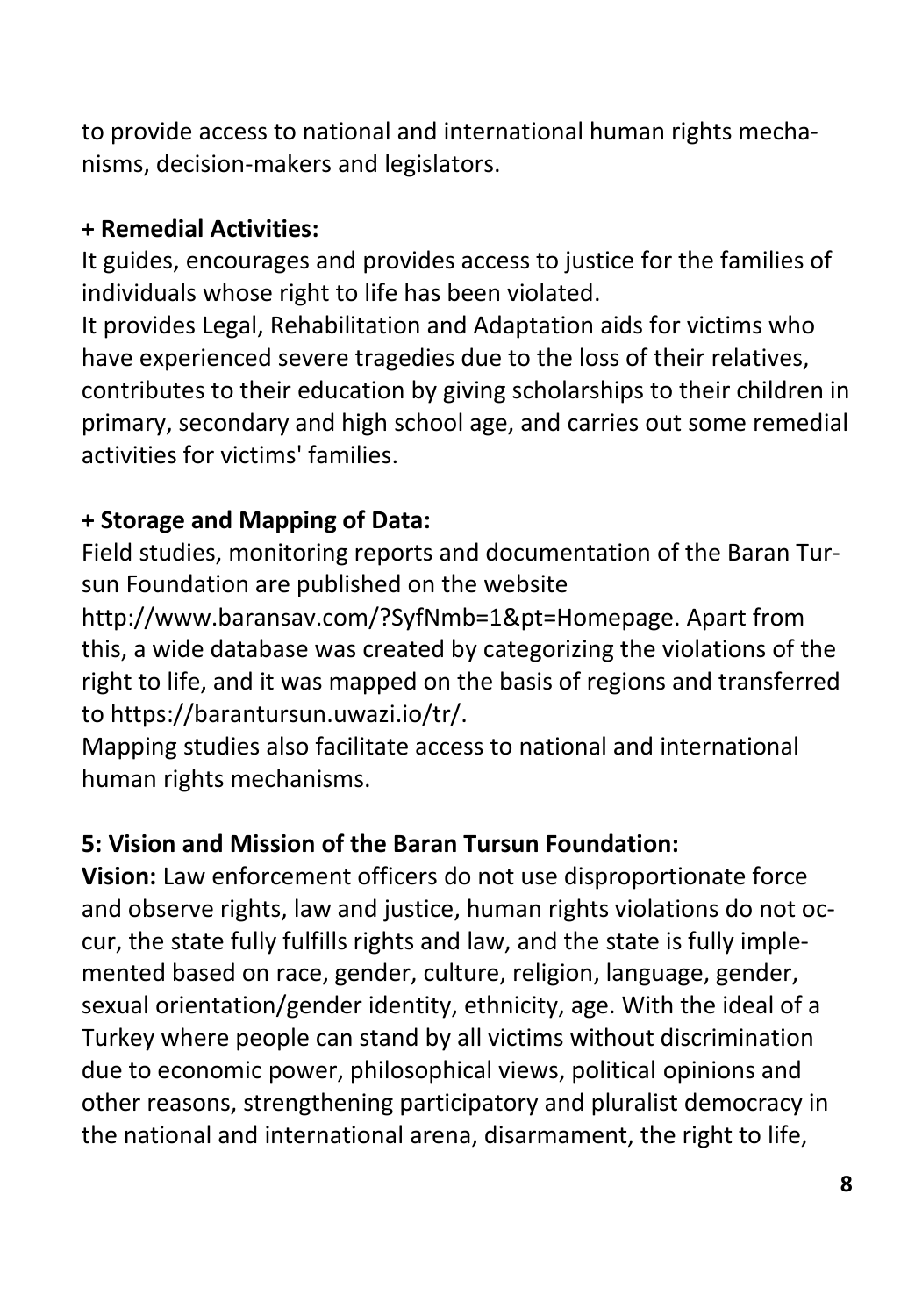to provide access to national and international human rights mechanisms, decision-makers and legislators.

#### **+ Remedial Activities:**

It guides, encourages and provides access to justice for the families of individuals whose right to life has been violated.

It provides Legal, Rehabilitation and Adaptation aids for victims who have experienced severe tragedies due to the loss of their relatives, contributes to their education by giving scholarships to their children in primary, secondary and high school age, and carries out some remedial activities for victims' families.

#### **+ Storage and Mapping of Data:**

Field studies, monitoring reports and documentation of the Baran Tursun Foundation are published on the website

http://www.baransav.com/?SyfNmb=1&pt=Homepage. Apart from this, a wide database was created by categorizing the violations of the right to life, and it was mapped on the basis of regions and transferred to https://barantursun.uwazi.io/tr/.

Mapping studies also facilitate access to national and international human rights mechanisms.

## **5: Vision and Mission of the Baran Tursun Foundation:**

**Vision:** Law enforcement officers do not use disproportionate force and observe rights, law and justice, human rights violations do not occur, the state fully fulfills rights and law, and the state is fully implemented based on race, gender, culture, religion, language, gender, sexual orientation/gender identity, ethnicity, age. With the ideal of a Turkey where people can stand by all victims without discrimination due to economic power, philosophical views, political opinions and other reasons, strengthening participatory and pluralist democracy in the national and international arena, disarmament, the right to life,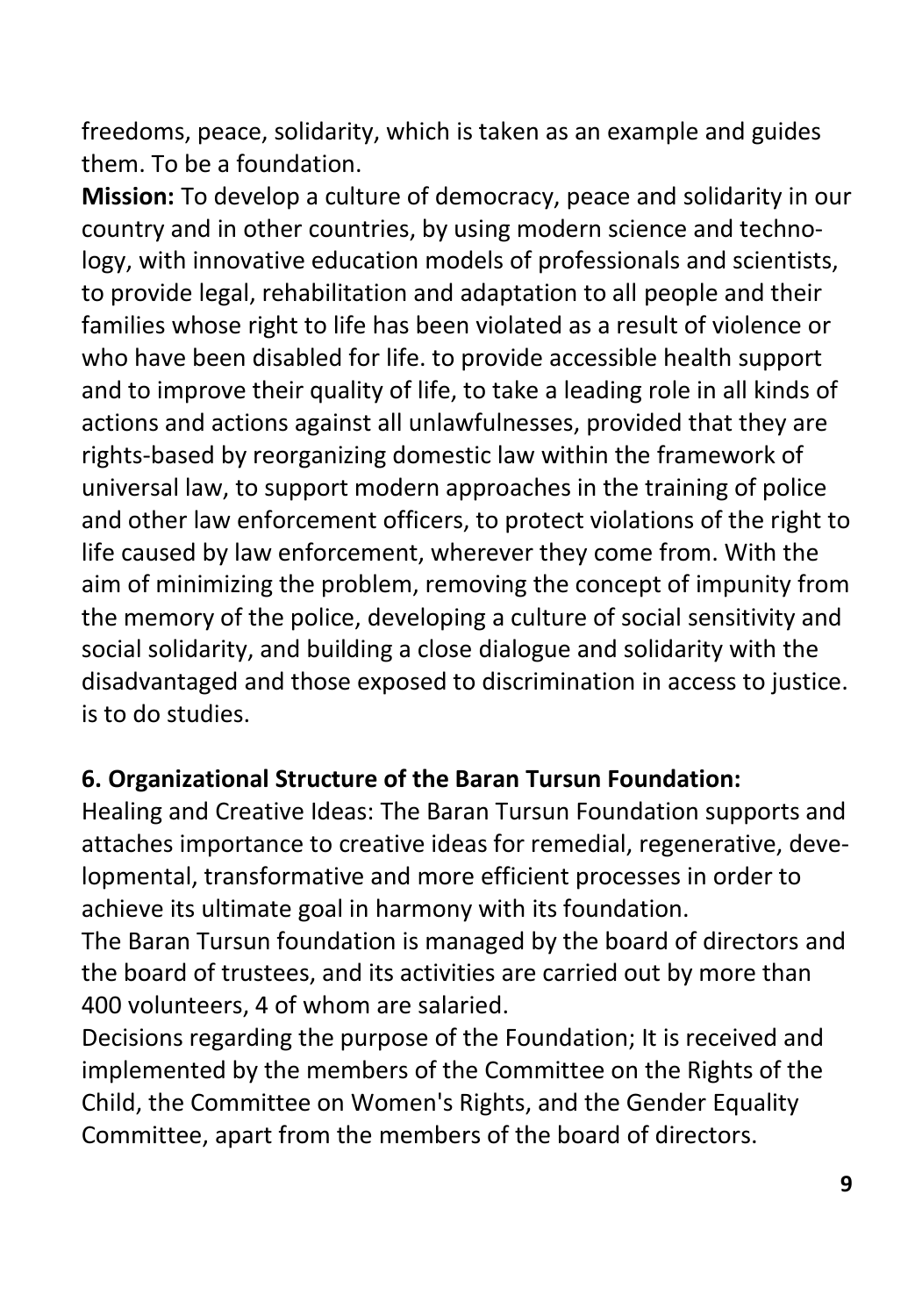freedoms, peace, solidarity, which is taken as an example and guides them. To be a foundation.

**Mission:** To develop a culture of democracy, peace and solidarity in our country and in other countries, by using modern science and technology, with innovative education models of professionals and scientists, to provide legal, rehabilitation and adaptation to all people and their families whose right to life has been violated as a result of violence or who have been disabled for life. to provide accessible health support and to improve their quality of life, to take a leading role in all kinds of actions and actions against all unlawfulnesses, provided that they are rights-based by reorganizing domestic law within the framework of universal law, to support modern approaches in the training of police and other law enforcement officers, to protect violations of the right to life caused by law enforcement, wherever they come from. With the aim of minimizing the problem, removing the concept of impunity from the memory of the police, developing a culture of social sensitivity and social solidarity, and building a close dialogue and solidarity with the disadvantaged and those exposed to discrimination in access to justice. is to do studies.

#### **6. Organizational Structure of the Baran Tursun Foundation:**

Healing and Creative Ideas: The Baran Tursun Foundation supports and attaches importance to creative ideas for remedial, regenerative, developmental, transformative and more efficient processes in order to achieve its ultimate goal in harmony with its foundation.

The Baran Tursun foundation is managed by the board of directors and the board of trustees, and its activities are carried out by more than 400 volunteers, 4 of whom are salaried.

Decisions regarding the purpose of the Foundation; It is received and implemented by the members of the Committee on the Rights of the Child, the Committee on Women's Rights, and the Gender Equality Committee, apart from the members of the board of directors.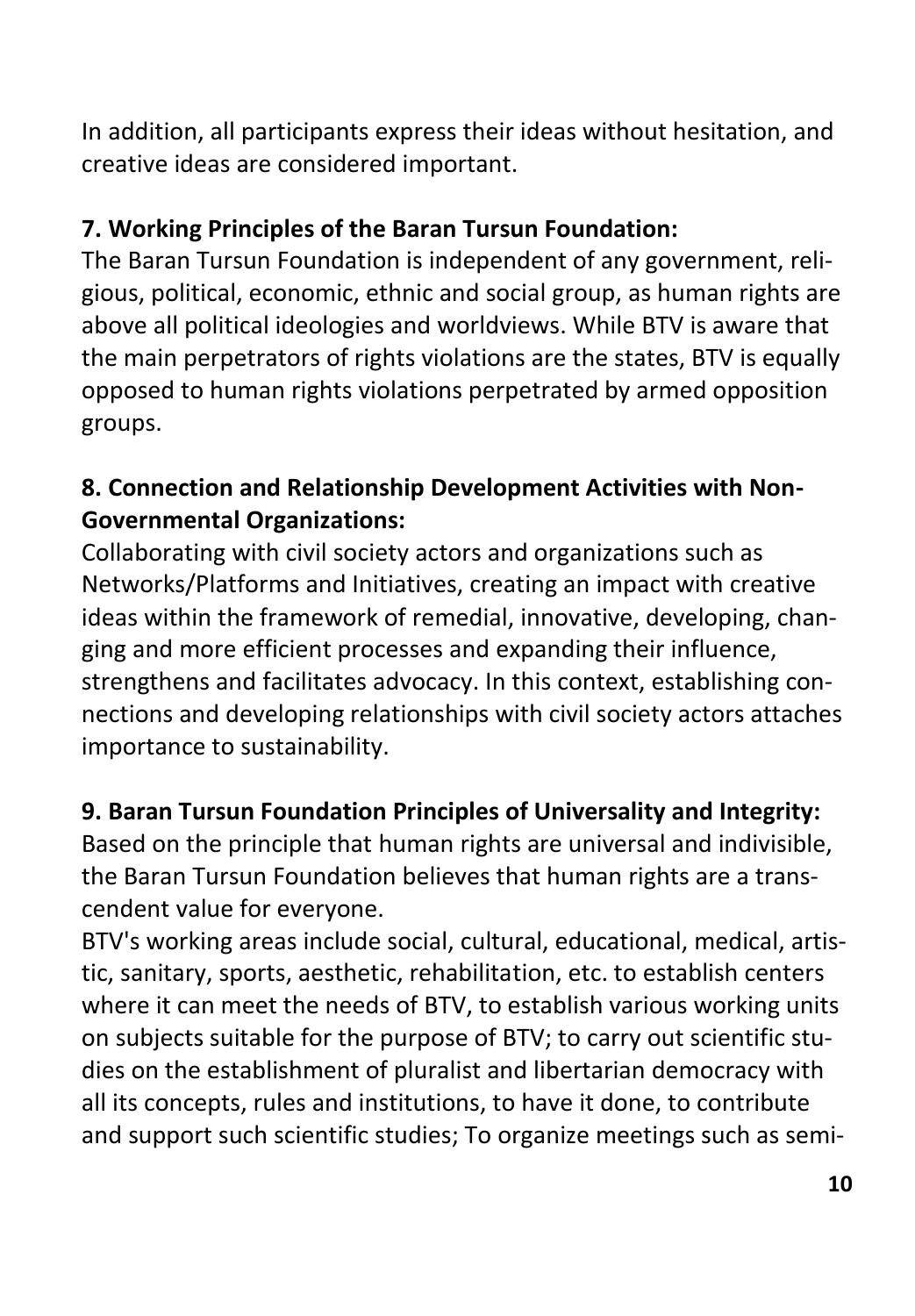In addition, all participants express their ideas without hesitation, and creative ideas are considered important.

## **7. Working Principles of the Baran Tursun Foundation:**

The Baran Tursun Foundation is independent of any government, religious, political, economic, ethnic and social group, as human rights are above all political ideologies and worldviews. While BTV is aware that the main perpetrators of rights violations are the states, BTV is equally opposed to human rights violations perpetrated by armed opposition groups.

# **8. Connection and Relationship Development Activities with Non-Governmental Organizations:**

Collaborating with civil society actors and organizations such as Networks/Platforms and Initiatives, creating an impact with creative ideas within the framework of remedial, innovative, developing, changing and more efficient processes and expanding their influence, strengthens and facilitates advocacy. In this context, establishing connections and developing relationships with civil society actors attaches importance to sustainability.

## **9. Baran Tursun Foundation Principles of Universality and Integrity:**

Based on the principle that human rights are universal and indivisible, the Baran Tursun Foundation believes that human rights are a transcendent value for everyone.

BTV's working areas include social, cultural, educational, medical, artistic, sanitary, sports, aesthetic, rehabilitation, etc. to establish centers where it can meet the needs of BTV, to establish various working units on subjects suitable for the purpose of BTV; to carry out scientific studies on the establishment of pluralist and libertarian democracy with all its concepts, rules and institutions, to have it done, to contribute and support such scientific studies; To organize meetings such as semi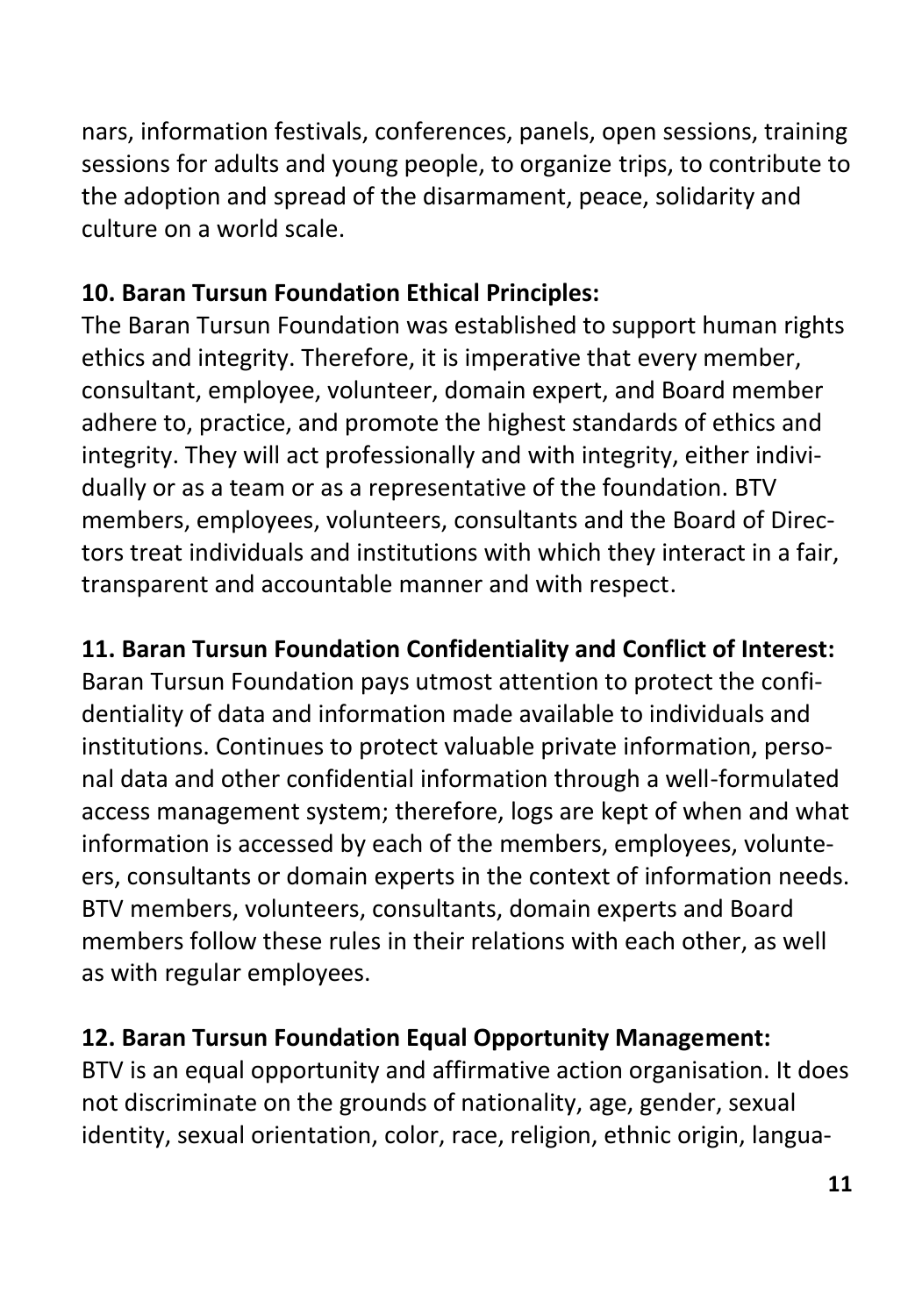nars, information festivals, conferences, panels, open sessions, training sessions for adults and young people, to organize trips, to contribute to the adoption and spread of the disarmament, peace, solidarity and culture on a world scale.

## **10. Baran Tursun Foundation Ethical Principles:**

The Baran Tursun Foundation was established to support human rights ethics and integrity. Therefore, it is imperative that every member, consultant, employee, volunteer, domain expert, and Board member adhere to, practice, and promote the highest standards of ethics and integrity. They will act professionally and with integrity, either individually or as a team or as a representative of the foundation. BTV members, employees, volunteers, consultants and the Board of Directors treat individuals and institutions with which they interact in a fair, transparent and accountable manner and with respect.

# **11. Baran Tursun Foundation Confidentiality and Conflict of Interest:**

Baran Tursun Foundation pays utmost attention to protect the confidentiality of data and information made available to individuals and institutions. Continues to protect valuable private information, personal data and other confidential information through a well-formulated access management system; therefore, logs are kept of when and what information is accessed by each of the members, employees, volunteers, consultants or domain experts in the context of information needs. BTV members, volunteers, consultants, domain experts and Board members follow these rules in their relations with each other, as well as with regular employees.

# **12. Baran Tursun Foundation Equal Opportunity Management:**

BTV is an equal opportunity and affirmative action organisation. It does not discriminate on the grounds of nationality, age, gender, sexual identity, sexual orientation, color, race, religion, ethnic origin, langua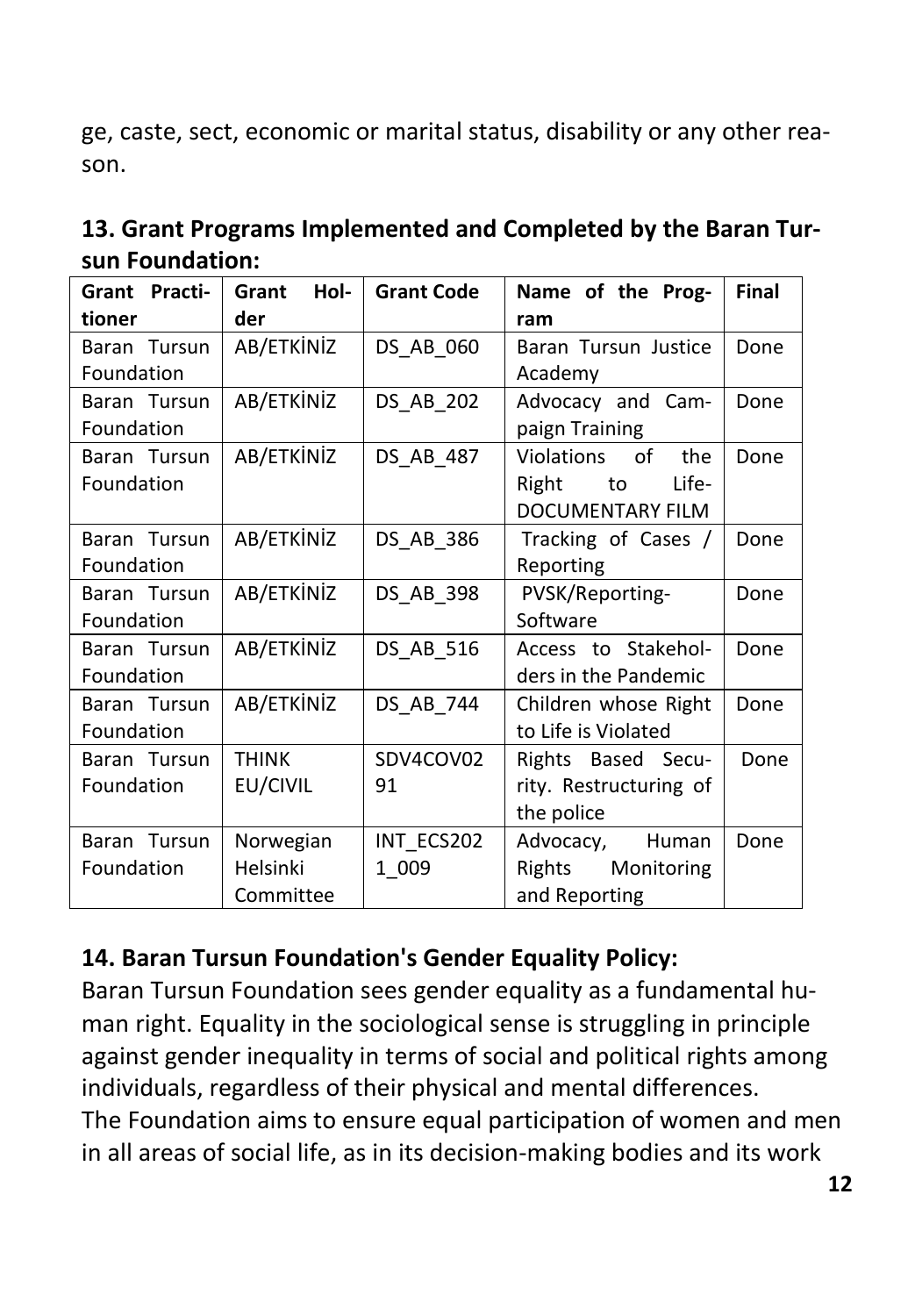ge, caste, sect, economic or marital status, disability or any other reason.

| Grant Practi- | Hol-<br>Grant | <b>Grant Code</b> | Name of the Prog-       | Final |  |  |  |  |
|---------------|---------------|-------------------|-------------------------|-------|--|--|--|--|
| tioner        | der           |                   | ram                     |       |  |  |  |  |
| Baran Tursun  | AB/ETKİNİZ    | DS AB 060         | Baran Tursun Justice    | Done  |  |  |  |  |
| Foundation    |               |                   | Academy                 |       |  |  |  |  |
| Baran Tursun  | AB/ETKİNİZ    | DS AB 202         | Advocacy and Cam-       | Done  |  |  |  |  |
| Foundation    |               |                   | paign Training          |       |  |  |  |  |
| Baran Tursun  | AB/ETKİNİZ    | DS AB 487         | Violations of<br>the    | Done  |  |  |  |  |
| Foundation    |               |                   | Life-<br>Right<br>to    |       |  |  |  |  |
|               |               |                   | <b>DOCUMENTARY FILM</b> |       |  |  |  |  |
| Baran Tursun  | AB/ETKİNİZ    | DS AB 386         | Tracking of Cases /     | Done  |  |  |  |  |
| Foundation    |               |                   | Reporting               |       |  |  |  |  |
| Baran Tursun  | AB/ETKİNİZ    | DS AB 398         | PVSK/Reporting-         | Done  |  |  |  |  |
| Foundation    |               |                   | Software                |       |  |  |  |  |
| Baran Tursun  | AB/ETKİNİZ    | DS AB 516         | Access to Stakehol-     | Done  |  |  |  |  |
| Foundation    |               |                   | ders in the Pandemic    |       |  |  |  |  |
| Baran Tursun  | AB/ETKİNİZ    | DS AB 744         | Children whose Right    | Done  |  |  |  |  |
| Foundation    |               |                   | to Life is Violated     |       |  |  |  |  |
| Baran Tursun  | <b>THINK</b>  | SDV4COV02         | Rights Based Secu-      | Done  |  |  |  |  |
| Foundation    | EU/CIVIL      | 91                | rity. Restructuring of  |       |  |  |  |  |
|               |               |                   | the police              |       |  |  |  |  |
| Baran Tursun  | Norwegian     | INT ECS202        | Advocacy, Human         | Done  |  |  |  |  |
| Foundation    | Helsinki      | 1 009             | Rights Monitoring       |       |  |  |  |  |
|               | Committee     |                   | and Reporting           |       |  |  |  |  |

| 13. Grant Programs Implemented and Completed by the Baran Tur- |  |
|----------------------------------------------------------------|--|
| sun Foundation:                                                |  |

## **14. Baran Tursun Foundation's Gender Equality Policy:**

Baran Tursun Foundation sees gender equality as a fundamental human right. Equality in the sociological sense is struggling in principle against gender inequality in terms of social and political rights among individuals, regardless of their physical and mental differences. The Foundation aims to ensure equal participation of women and men in all areas of social life, as in its decision-making bodies and its work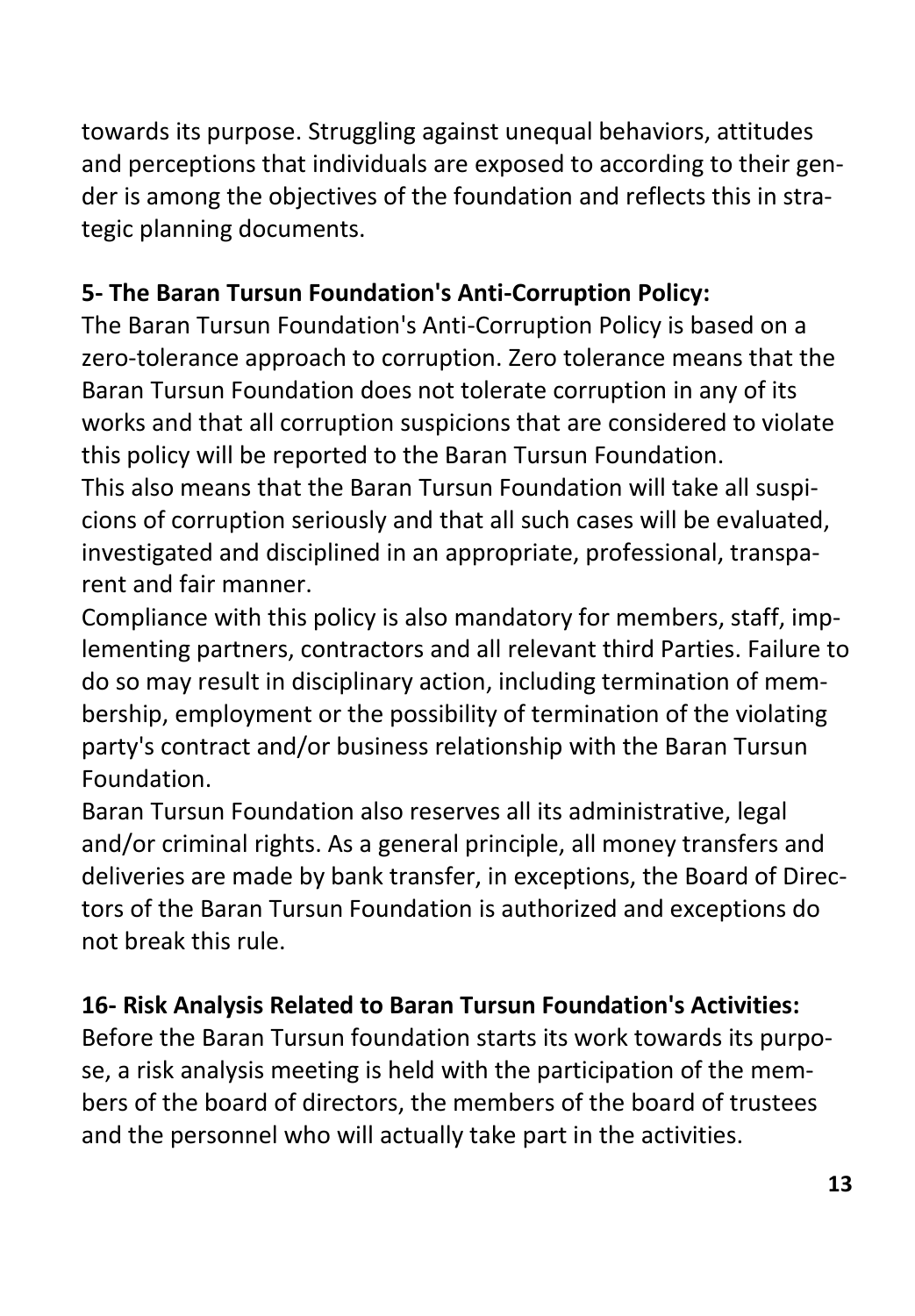towards its purpose. Struggling against unequal behaviors, attitudes and perceptions that individuals are exposed to according to their gender is among the objectives of the foundation and reflects this in strategic planning documents.

# **5- The Baran Tursun Foundation's Anti-Corruption Policy:**

The Baran Tursun Foundation's Anti-Corruption Policy is based on a zero-tolerance approach to corruption. Zero tolerance means that the Baran Tursun Foundation does not tolerate corruption in any of its works and that all corruption suspicions that are considered to violate this policy will be reported to the Baran Tursun Foundation.

This also means that the Baran Tursun Foundation will take all suspicions of corruption seriously and that all such cases will be evaluated, investigated and disciplined in an appropriate, professional, transparent and fair manner.

Compliance with this policy is also mandatory for members, staff, implementing partners, contractors and all relevant third Parties. Failure to do so may result in disciplinary action, including termination of membership, employment or the possibility of termination of the violating party's contract and/or business relationship with the Baran Tursun Foundation.

Baran Tursun Foundation also reserves all its administrative, legal and/or criminal rights. As a general principle, all money transfers and deliveries are made by bank transfer, in exceptions, the Board of Directors of the Baran Tursun Foundation is authorized and exceptions do not break this rule.

# **16- Risk Analysis Related to Baran Tursun Foundation's Activities:**

Before the Baran Tursun foundation starts its work towards its purpose, a risk analysis meeting is held with the participation of the members of the board of directors, the members of the board of trustees and the personnel who will actually take part in the activities.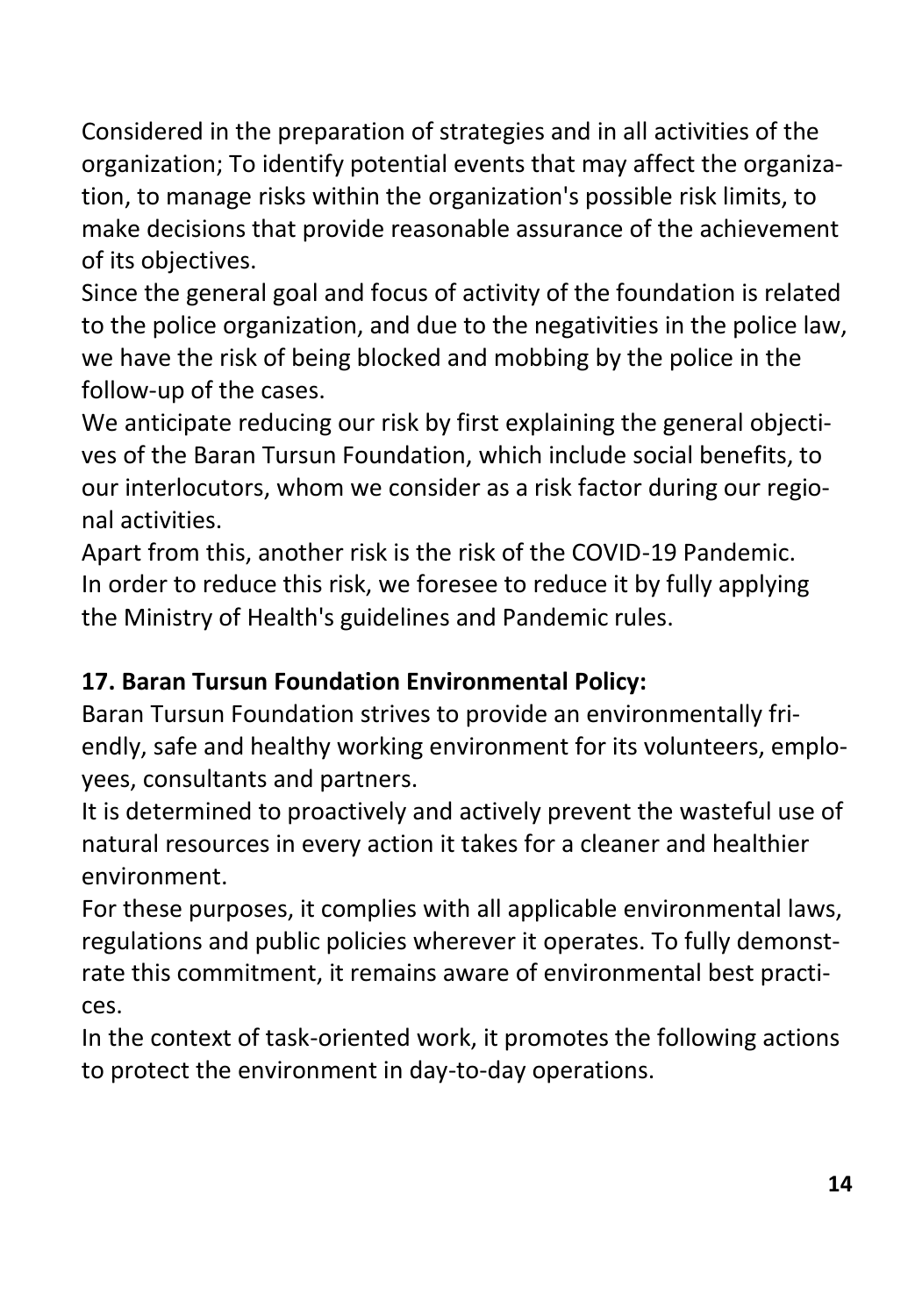Considered in the preparation of strategies and in all activities of the organization; To identify potential events that may affect the organization, to manage risks within the organization's possible risk limits, to make decisions that provide reasonable assurance of the achievement of its objectives.

Since the general goal and focus of activity of the foundation is related to the police organization, and due to the negativities in the police law, we have the risk of being blocked and mobbing by the police in the follow-up of the cases.

We anticipate reducing our risk by first explaining the general objectives of the Baran Tursun Foundation, which include social benefits, to our interlocutors, whom we consider as a risk factor during our regional activities.

Apart from this, another risk is the risk of the COVID-19 Pandemic. In order to reduce this risk, we foresee to reduce it by fully applying the Ministry of Health's guidelines and Pandemic rules.

# **17. Baran Tursun Foundation Environmental Policy:**

Baran Tursun Foundation strives to provide an environmentally friendly, safe and healthy working environment for its volunteers, employees, consultants and partners.

It is determined to proactively and actively prevent the wasteful use of natural resources in every action it takes for a cleaner and healthier environment.

For these purposes, it complies with all applicable environmental laws, regulations and public policies wherever it operates. To fully demonstrate this commitment, it remains aware of environmental best practices.

In the context of task-oriented work, it promotes the following actions to protect the environment in day-to-day operations.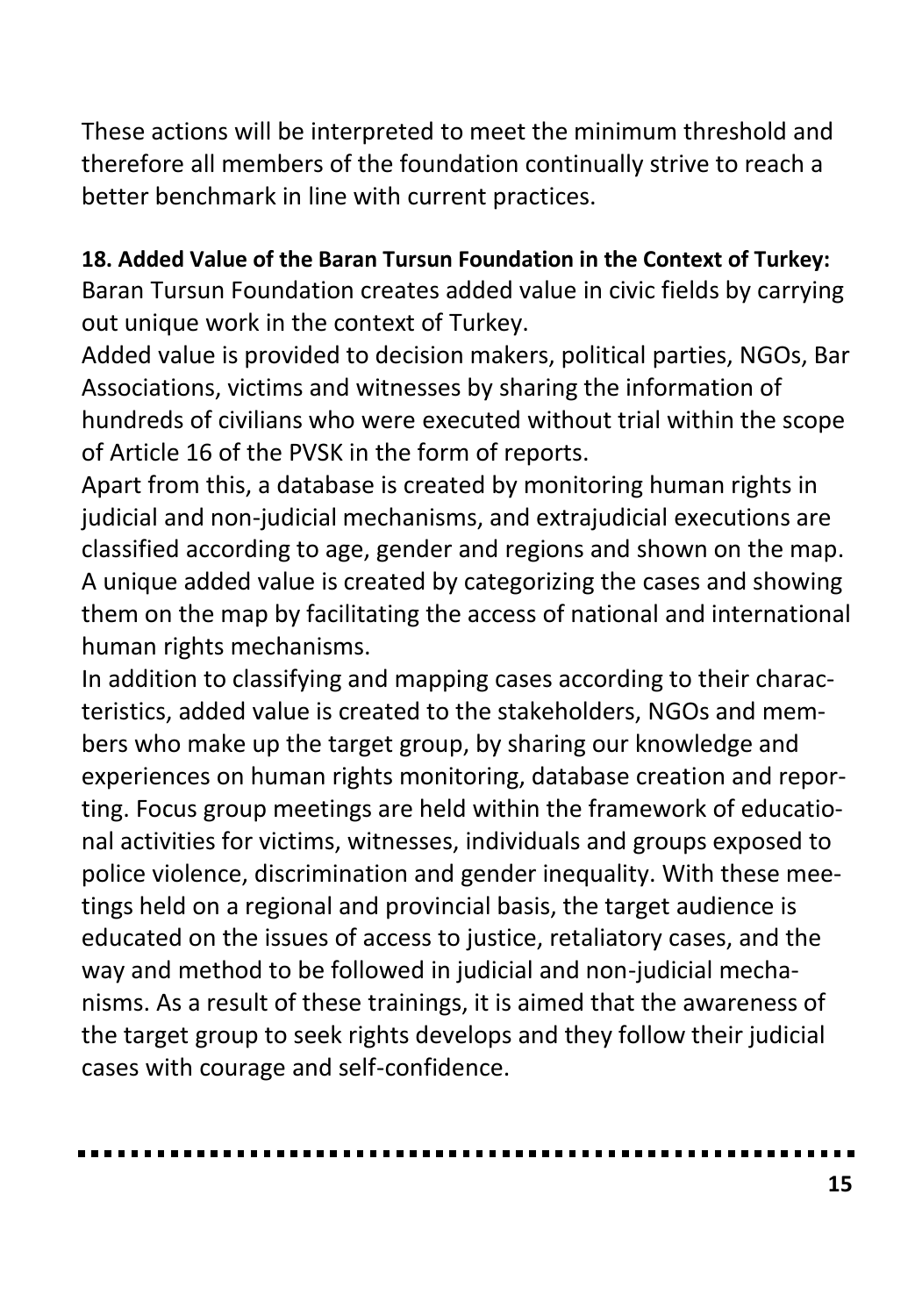These actions will be interpreted to meet the minimum threshold and therefore all members of the foundation continually strive to reach a better benchmark in line with current practices.

#### **18. Added Value of the Baran Tursun Foundation in the Context of Turkey:**

Baran Tursun Foundation creates added value in civic fields by carrying out unique work in the context of Turkey.

Added value is provided to decision makers, political parties, NGOs, Bar Associations, victims and witnesses by sharing the information of hundreds of civilians who were executed without trial within the scope of Article 16 of the PVSK in the form of reports.

Apart from this, a database is created by monitoring human rights in judicial and non-judicial mechanisms, and extrajudicial executions are classified according to age, gender and regions and shown on the map. A unique added value is created by categorizing the cases and showing them on the map by facilitating the access of national and international human rights mechanisms.

In addition to classifying and mapping cases according to their characteristics, added value is created to the stakeholders, NGOs and members who make up the target group, by sharing our knowledge and experiences on human rights monitoring, database creation and reporting. Focus group meetings are held within the framework of educational activities for victims, witnesses, individuals and groups exposed to police violence, discrimination and gender inequality. With these meetings held on a regional and provincial basis, the target audience is educated on the issues of access to justice, retaliatory cases, and the way and method to be followed in judicial and non-judicial mechanisms. As a result of these trainings, it is aimed that the awareness of the target group to seek rights develops and they follow their judicial cases with courage and self-confidence.